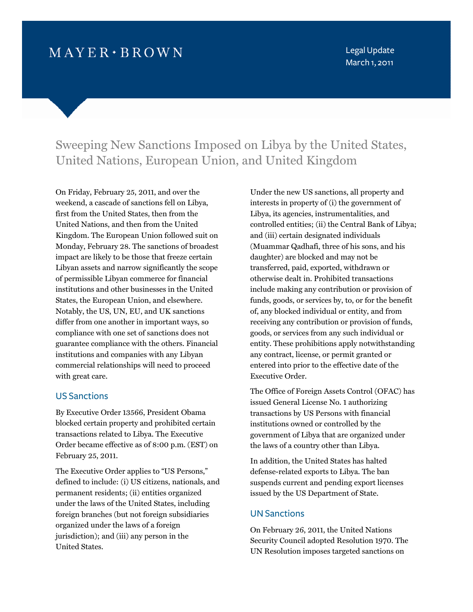# $M$  A Y E R  $\cdot$  B R O W N

Legal Update March 1, 2011

# Sweeping New Sanctions Imposed on Libya by the United States, United Nations, European Union, and United Kingdom

On Friday, February 25, 2011, and over the weekend, a cascade of sanctions fell on Libya, first from the United States, then from the United Nations, and then from the United Kingdom. The European Union followed suit on Monday, February 28. The sanctions of broadest impact are likely to be those that freeze certain Libyan assets and narrow significantly the scope of permissible Libyan commerce for financial institutions and other businesses in the United States, the European Union, and elsewhere. Notably, the US, UN, EU, and UK sanctions differ from one another in important ways, so compliance with one set of sanctions does not guarantee compliance with the others. Financial institutions and companies with any Libyan commercial relationships will need to proceed with great care.

#### US Sanctions

By Executive Order 13566, President Obama blocked certain property and prohibited certain transactions related to Libya. The Executive Order became effective as of 8:00 p.m. (EST) on February 25, 2011.

The Executive Order applies to "US Persons," defined to include: (i) US citizens, nationals, and permanent residents; (ii) entities organized under the laws of the United States, including foreign branches (but not foreign subsidiaries organized under the laws of a foreign jurisdiction); and (iii) any person in the United States.

Under the new US sanctions, all property and interests in property of (i) the government of Libya, its agencies, instrumentalities, and controlled entities; (ii) the Central Bank of Libya; and (iii) certain designated individuals (Muammar Qadhafi, three of his sons, and his daughter) are blocked and may not be transferred, paid, exported, withdrawn or otherwise dealt in. Prohibited transactions include making any contribution or provision of funds, goods, or services by, to, or for the benefit of, any blocked individual or entity, and from receiving any contribution or provision of funds, goods, or services from any such individual or entity. These prohibitions apply notwithstanding any contract, license, or permit granted or entered into prior to the effective date of the Executive Order.

The Office of Foreign Assets Control (OFAC) has issued General License No. 1 authorizing transactions by US Persons with financial institutions owned or controlled by the government of Libya that are organized under the laws of a country other than Libya.

In addition, the United States has halted defense-related exports to Libya. The ban suspends current and pending export licenses issued by the US Department of State.

#### UN Sanctions

On February 26, 2011, the United Nations Security Council adopted Resolution 1970. The UN Resolution imposes targeted sanctions on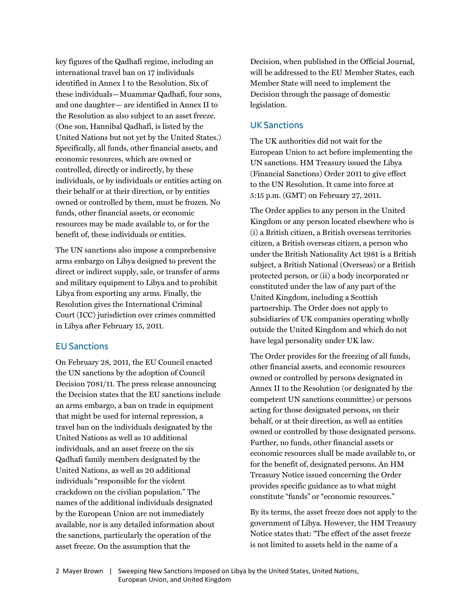key figures of the Qadhafi regime, including an international travel ban on 17 individuals identified in Annex I to the Resolution. Six of these individuals—Muammar Qadhafi, four sons, and one daughter— are identified in Annex II to the Resolution as also subject to an asset freeze. (One son, Hannibal Qadhafi, is listed by the United Nations but not yet by the United States.) Specifically, all funds, other financial assets, and economic resources, which are owned or controlled, directly or indirectly, by these individuals, or by individuals or entities acting on their behalf or at their direction, or by entities owned or controlled by them, must be frozen. No funds, other financial assets, or economic resources may be made available to, or for the benefit of, these individuals or entities.

The UN sanctions also impose a comprehensive arms embargo on Libya designed to prevent the direct or indirect supply, sale, or transfer of arms and military equipment to Libya and to prohibit Libya from exporting any arms. Finally, the Resolution gives the International Criminal Court (ICC) jurisdiction over crimes committed in Libya after February 15, 2011.

### EU Sanctions

On February 28, 2011, the EU Council enacted the UN sanctions by the adoption of Council Decision 7081/11. The press release announcing the Decision states that the EU sanctions include an arms embargo, a ban on trade in equipment that might be used for internal repression, a travel ban on the individuals designated by the United Nations as well as 10 additional individuals, and an asset freeze on the six Qadhafi family members designated by the United Nations, as well as 20 additional individuals "responsible for the violent crackdown on the civilian population." The names of the additional individuals designated by the European Union are not immediately available, nor is any detailed information about the sanctions, particularly the operation of the asset freeze. On the assumption that the

Decision, when published in the Official Journal, will be addressed to the EU Member States, each Member State will need to implement the Decision through the passage of domestic legislation.

### UK Sanctions

The UK authorities did not wait for the European Union to act before implementing the UN sanctions. HM Treasury issued the Libya (Financial Sanctions) Order 2011 to give effect to the UN Resolution. It came into force at 5:15 p.m. (GMT) on February 27, 2011.

The Order applies to any person in the United Kingdom or any person located elsewhere who is (i) a British citizen, a British overseas territories citizen, a British overseas citizen, a person who under the British Nationality Act 1981 is a British subject, a British National (Overseas) or a British protected person, or (ii) a body incorporated or constituted under the law of any part of the United Kingdom, including a Scottish partnership. The Order does not apply to subsidiaries of UK companies operating wholly outside the United Kingdom and which do not have legal personality under UK law.

The Order provides for the freezing of all funds, other financial assets, and economic resources owned or controlled by persons designated in Annex II to the Resolution (or designated by the competent UN sanctions committee) or persons acting for those designated persons, on their behalf, or at their direction, as well as entities owned or controlled by those designated persons. Further, no funds, other financial assets or economic resources shall be made available to, or for the benefit of, designated persons. An HM Treasury Notice issued concerning the Order provides specific guidance as to what might constitute "funds" or "economic resources."

By its terms, the asset freeze does not apply to the government of Libya. However, the HM Treasury Notice states that: "The effect of the asset freeze is not limited to assets held in the name of a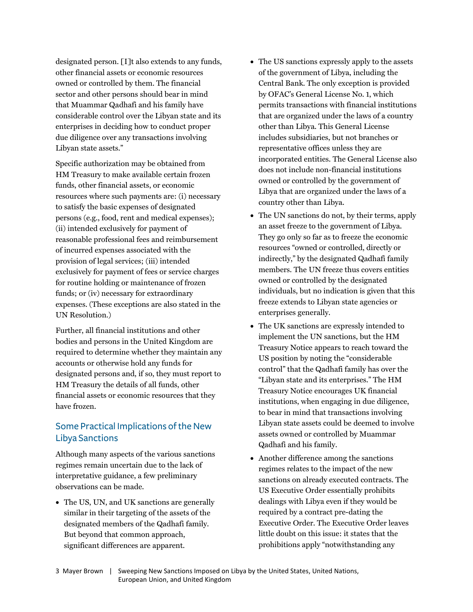designated person. [I]t also extends to any funds, other financial assets or economic resources owned or controlled by them. The financial sector and other persons should bear in mind that Muammar Qadhafi and his family have considerable control over the Libyan state and its enterprises in deciding how to conduct proper due diligence over any transactions involving Libyan state assets."

Specific authorization may be obtained from HM Treasury to make available certain frozen funds, other financial assets, or economic resources where such payments are: (i) necessary to satisfy the basic expenses of designated persons (e.g., food, rent and medical expenses); (ii) intended exclusively for payment of reasonable professional fees and reimbursement of incurred expenses associated with the provision of legal services; (iii) intended exclusively for payment of fees or service charges for routine holding or maintenance of frozen funds; or (iv) necessary for extraordinary expenses. (These exceptions are also stated in the UN Resolution.)

Further, all financial institutions and other bodies and persons in the United Kingdom are required to determine whether they maintain any accounts or otherwise hold any funds for designated persons and, if so, they must report to HM Treasury the details of all funds, other financial assets or economic resources that they have frozen.

## Some Practical Implications of the New Libya Sanctions

Although many aspects of the various sanctions regimes remain uncertain due to the lack of interpretative guidance, a few preliminary observations can be made.

• The US, UN, and UK sanctions are generally similar in their targeting of the assets of the designated members of the Qadhafi family. But beyond that common approach, significant differences are apparent.

- The US sanctions expressly apply to the assets of the government of Libya, including the Central Bank. The only exception is provided by OFAC's General License No. 1, which permits transactions with financial institutions that are organized under the laws of a country other than Libya. This General License includes subsidiaries, but not branches or representative offices unless they are incorporated entities. The General License also does not include non-financial institutions owned or controlled by the government of Libya that are organized under the laws of a country other than Libya.
- The UN sanctions do not, by their terms, apply an asset freeze to the government of Libya. They go only so far as to freeze the economic resources "owned or controlled, directly or indirectly," by the designated Qadhafi family members. The UN freeze thus covers entities owned or controlled by the designated individuals, but no indication is given that this freeze extends to Libyan state agencies or enterprises generally.
- The UK sanctions are expressly intended to implement the UN sanctions, but the HM Treasury Notice appears to reach toward the US position by noting the "considerable control" that the Qadhafi family has over the "Libyan state and its enterprises." The HM Treasury Notice encourages UK financial institutions, when engaging in due diligence, to bear in mind that transactions involving Libyan state assets could be deemed to involve assets owned or controlled by Muammar Qadhafi and his family.
- Another difference among the sanctions regimes relates to the impact of the new sanctions on already executed contracts. The US Executive Order essentially prohibits dealings with Libya even if they would be required by a contract pre-dating the Executive Order. The Executive Order leaves little doubt on this issue: it states that the prohibitions apply "notwithstanding any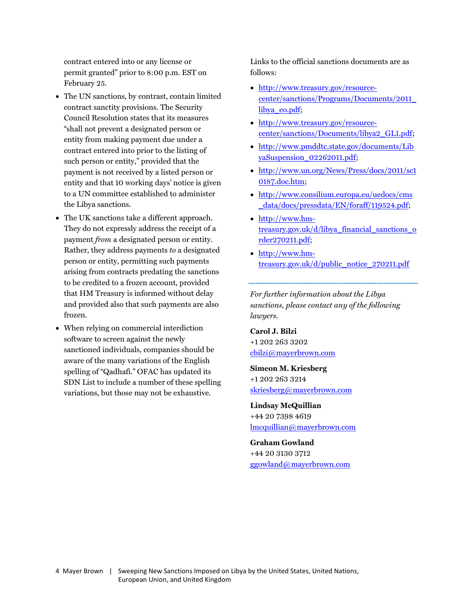contract entered into or any license or permit granted" prior to 8:00 p.m. EST on February 25.

- The UN sanctions, by contrast, contain limited contract sanctity provisions. The Security Council Resolution states that its measures "shall not prevent a designated person or entity from making payment due under a contract entered into prior to the listing of such person or entity," provided that the payment is not received by a listed person or entity and that 10 working days' notice is given to a UN committee established to administer the Libya sanctions.
- The UK sanctions take a different approach. They do not expressly address the receipt of a payment *from* a designated person or entity. Rather, they address payments *to* a designated person or entity, permitting such payments arising from contracts predating the sanctions to be credited to a frozen account, provided that HM Treasury is informed without delay and provided also that such payments are also frozen.
- When relying on commercial interdiction software to screen against the newly sanctioned individuals, companies should be aware of the many variations of the English spelling of "Qadhafi." OFAC has updated its SDN List to include a number of these spelling variations, but those may not be exhaustive.

Links to the official sanctions documents are as follows:

- http://www.treasury.gov/resource[center/sanctions/Programs/Documents/2011\\_](http://www.treasury.gov/resource-center/sanctions/Programs/Documents/2011_libya_eo.pdf) libya\_eo.pdf;
- http://www.treasury.gov/resource[center/sanctions/Documents/libya2\\_GL1.pdf;](http://www.treasury.gov/resource-center/sanctions/Documents/libya2_GL1.pdf)
- [http://www.pmddtc.state.gov/documents/Lib](http://www.pmddtc.state.gov/documents/LibyaSuspension_02262011.pdf) yaSuspension\_02262011.pdf;
- [http://www.un.org/News/Press/docs/2011/sc1](http://www.un.org/News/Press/docs/2011/sc10187.doc.htm) 0187.doc.htm;
- [http://www.consilium.europa.eu/uedocs/cms](http://www.consilium.europa.eu/uedocs/cms_data/docs/pressdata/EN/foraff/119524.pdf) \_data/docs/pressdata/EN/foraff/119524.pdf;
- http://www.hm[treasury.gov.uk/d/libya\\_financial\\_sanctions\\_o](http://www.hm-treasury.gov.uk/d/libya_financial_sanctions_order270211.pdf) rder270211.pdf;
- http://www.hm[treasury.gov.uk/d/public\\_notice\\_270211.pdf](http://www.hm-treasury.gov.uk/d/public_notice_270211.pdf)

*For further information about the Libya sanctions, please contact any of the following lawyers.*

**Carol J. Bilzi** +1 202 263 3202 cbilzi@mayerbrown.com

**Simeon M. Kriesberg** +1 202 263 3214 skriesberg@mayerbrown.com

**Lindsay McQuillian** +44 20 7398 4619 lmcquillian@mayerbrown.com

**Graham Gowland** +44 20 3130 3712 ggowland@mayerbrown.com